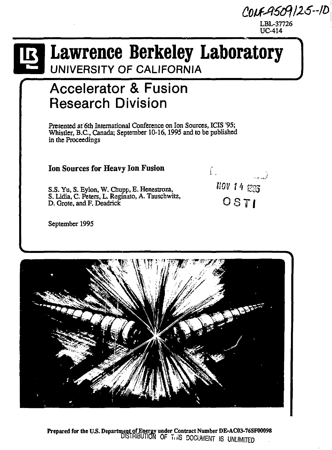*QHtA&ftlZ5-n>\*  LBL-37726 UC-414

## **Lawrence Berkeley Laboratory**

 $\int_{0}^{\infty}$ 

*NOV \* **4 135 OSTI** 

فسعد

UNIVERSITY OF CALIFORNIA

### **Accelerator & Fusion Research Division**

Presented at 6th International Conference on Ion Sources, ICIS '95; Whistler, B.C., Canada; September 10-16,1995 and to be published in the Proceedings

**Ion Sources for Heavy Ion Fusion** 

S.S. Yu, S. Eylon, W. Chupp, E. Henestroza, S. Lidia, C. Peters, L. Reginato, A. Tauschwitz, D. Grote, and F. Deadrick

September 1995



Prepared for the US. Department of Energy under Contract Number DE-AC03-76SF00098 DISTRIBUTION OF T"IS DOCUMENT IS UNLIMITED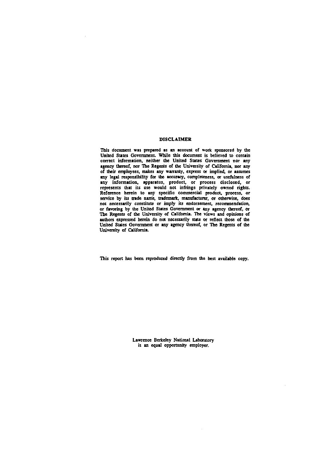#### **DISCLAIMER**

**This document was prepared as an account of work sponsored by the United Stales Government. While this document is believed to contain correct information, neither the United States Government nor any agency thereof, nor The Regents of the University of California, nor any of their employees, makes any warranty, express or implied, or assumes any legal responsibility for the accuracy, completeness, or usefulness of any information, apparatus, product, or process disclosed, or represents that its use would not infringe privately owned rights. Reference herein to any specific commercial product, process, or service by its trade name, trademark, manufacturer, or otherwise, does not necessarily constitute or imply its endorsement, recommendation, or favoring by the United States Government or any agency thereof, or The Regents of the University of California. The views and opinions of authors expressed herein do not necessarily state or reflect those of the United States Government or any agency thereof, or The Regents of the University of California.** 

**This report has been reproduced directly from the best available copy.** 

**Lawrence Berkeley National Laboratory is an equal opportunity employer.**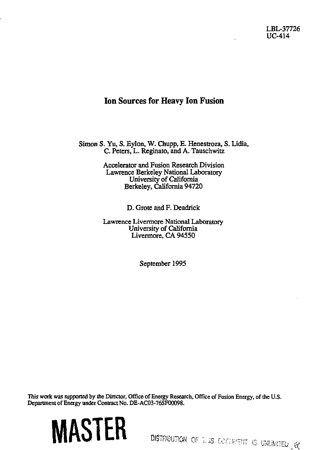LBL-37726 UC-414

#### Ion Sources for Heavy Ion Fusion

Simon S. Yu, S. Eylon, W. Chupp, E. Henestroza, S. Lidia, C. Peters, L. Reginato, and A. Tauschwitz

> Accelerator and Fusion Research Division Lawrence Berkeley National Laboratory University of California Berkeley, California 94720

> > D. Grote and F. Deadrick

Lawrence Livermore National Laboratory University of California Livermore, CA 94550

September 1995

This work was supported by the Director, Office of Energy Research, Office of Fusion Energy, of the U.S. Department of Energy under Contract No. DE-AC03-76SF00098.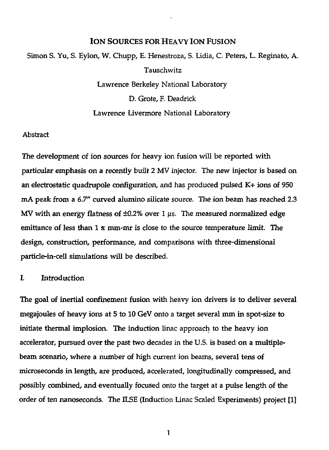#### **ION** SOURCES FOR HEAVY ION FUSION

Simon S. Yu, S. Eylon, W. Chupp, E. Henestroza, S. Lidia, C. Peters, L. Reginato, A. Tauschwitz Lawrence Berkeley National Laboratory D. Grote, F. Deadrick

#### Lawrence Livermore National Laboratory

#### Abstract

The development of ion sources for heavy ion fusion will be reported with particular emphasis on a recently built 2 MV injector. The new injector is based on an electrostatic quadrupole configuration, and has produced pulsed K+ ions of 950 mA peak from a *6.7"* curved alumino silicate source. The ion beam has reached 2.3 MV with an energy flatness of  $\pm 0.2\%$  over 1  $\mu$ s. The measured normalized edge emittance of less than  $1 \pi$  mm-mr is close to the source temperature limit. The design, construction, performance, and comparisons with three-dimensional particle-in-cell simulations will be described.

#### I. Introduction

The goal of inertial confinement fusion with heavy ion drivers is to deliver several megajoules of heavy ions at 5 to 10 GeV onto a target several mm in spot-size to initiate thermal implosion. The induction linac approach to the heavy ion accelerator, pursued over the past two decades in the U.S. is based on a multiplebeam scenario, where a number of high current ion beams, several tens of microseconds in length, are produced, accelerated, longitudinally compressed, and possibly combined, and eventually focused onto the target at a pulse length of the order of ten nanoseconds. The ILSE (Induction Linac Scaled Experiments) project [1]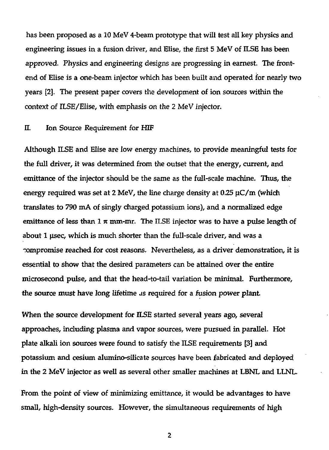has been proposed as a 10 MeV 4-beam prototype that will test all key physics and engineering issues in a fusion driver, and Elise, the first 5 MeV of ILSE has been approved. Physics and engineering designs are progressing in earnest. The frontend of Elise is a one-beam injector which has been built and operated for nearly two years [2]. The present paper covers the development of ion sources within the context of ILSE/Elise, with emphasis on the 2 MeV injector.

#### H. Ion Source Requirement for HIF

Although ILSE and Elise are low energy machines, to provide meaningful tests for the full driver, it was determined from the outset that the energy, current, and emittance of the injector should be the same as the full-scale machine. Thus, the energy required was set at 2 MeV, the line charge density at 0.25 *\iC/m* (which translates to 790 mA of singly charged potassium ions), and a normalized edge emittance of less than  $1 \pi$  mm-mr. The ILSE injector was to have a pulse length of about 1 usee, which is much shorter than the full-scale driver, and was a -ompromise reached for cost reasons. Nevertheless, as a driver demonstration, it is essential to show that the desired parameters can be attained over the entire microsecond pulse, and that the head-to-tail variation be minimal. Furthermore, the source must have long lifetime as required for a fusion power plant.

When the source development for ILSE started several years ago, several approaches, including plasma and vapor sources, were pursued in parallel. Hot plate alkali ion sources were found to satisfy the ILSE requirements [3] and potassium and cesium alurnino-silicate sources have been fabricated and deployed in the 2 MeV injector as well as several other smaller machines at LBNL and LLNL.

From the point of view of minimizing emittance, it would be advantages to have small, high-density sources. However, the simultaneous requirements of high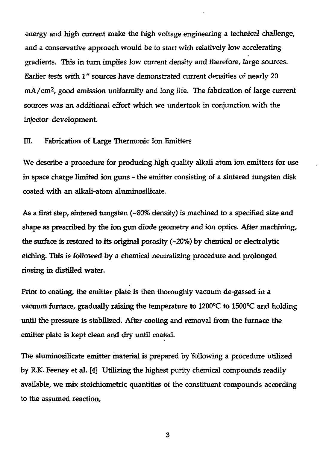energy and high current make the high voltage engineering a technical challenge, and a conservative approach would be to start with relatively low accelerating gradients. This in turn implies low current density and therefore, large sources. Earlier tests with 1" sources have demonstrated current densities of nearly 20 mA/cm<sup>2</sup> , good emission uniformity and long life. The fabrication of large current sources was an additional effort which we undertook in conjunction with the injector development.

#### III. Fabrication of Large Thermonic Ion Emitters

We describe a procedure for producing high quality alkali atom ion emitters for use in space charge limited ion guns - the emitter consisting of a sintered tungsten disk coated with an alkali-atom aluminosilicate.

As a first step, sintered tungsten *("80%* density) is machined to a specified size and shape as prescribed by the ion gun diode geometry and ion optics. After machining, the surface is restored to its original porosity (~20%) by chemical or electrolytic etching. This is followed by a chemical neutralizing procedure and prolonged rinsing in distilled water.

Prior to coating, the emitter plate is then thoroughly vacuum de-gassed in a vacuum furnace, gradually raising the temperature to 1200°C to 1500°C and holding until the pressure is stabilized. After cooling and removal from the furnace the emitter plate is kept clean and dry until coated.

The aluminosilicate emitter material is prepared by following a procedure utilized by R.K. Feeney et al. [4] Utilizing the highest purity chemical compounds readily available, we mix stoichiometric quantities of the constituent compounds according to the assumed reaction,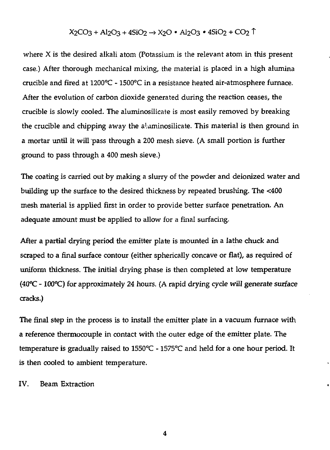#### $X2CO3 + Al2O3 + 4SiO2 \rightarrow X2O$  • Al $2O3$  •  $4SiO2 + CO2$

where X is the desired alkali atom (Potassium is the relevant atom in this present case.) After thorough mechanical mixing, the material is placed in a high alumina crucible and fired at 1200°C - 1500°C in a resistance heated air-atmosphere furnace. After the evolution of carbon dioxide generated during the reaction ceases, the crucible is slowly cooled. The aluminosilicate is most easily removed by breaking the crucible and chipping away the a'.uminosilicate. This material is then ground in a mortar until it will pass through a 200 mesh sieve. (A small portion is further ground to pass through a 400 mesh sieve.)

The coating is carried out by making a slurry of the powder and deionized water and building up the surface to the desired thickness by repeated brushing. The <400 mesh material is applied first in order to provide better surface penetration. An adequate amount must be applied to allow for a final surfacing.

After a partial drying period the emitter plate is mounted in a lathe chuck and scraped to a final surface contour (either spherically concave or flat), as required of uniform thickness. The initial drying phase is then completed at low temperature (40°C - 100°C) for approximately 24 hours. (A rapid drying cycle will generate surface cracks.)

The final step in the process is to install the emitter plate in a vacuum furnace with a reference thermocouple in contact with the outer edge of the emitter plate. The temperature is gradually raised to 1550°C - 1575°C and held for a one hour period. It is then cooled to ambient temperature.

IV. Beam Extraction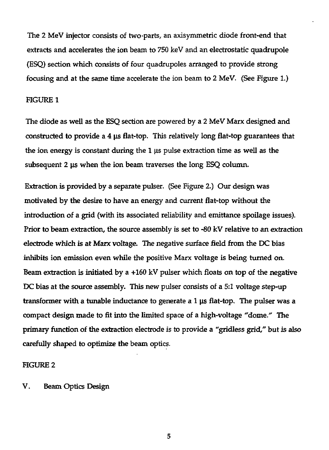The 2 MeV injector consists of two-parts, an axisymmetric diode front-end that extracts and accelerates the ion beam to 750 keV and an electrostatic quadrupole (ESQ) section which consists of four quadrupoles arranged to provide strong focusing and at the same time accelerate the ion beam to 2 MeV. (See Figure 1.)

#### FIGURE 1

The diode as well as the ESQ section are powered by a 2 MeV Marx designed and constructed to provide a 4 *\is* flat-top. This relatively long flat-top guarantees that the ion energy is constant during the 1 us pulse extraction time as well as the subsequent 2 µs when the ion beam traverses the long ESQ column.

Extraction is provided by a separate pulser. (See Figure 2.) Our design was motivated by the desire to have an energy and current flat-top without the introduction of a grid (with its associated reliability and emittance spoilage issues). Prior to beam extraction, the source assembly is set to -80 kV relative to an extraction electrode which is at Marx voltage. The negative surface field from the DC bias inhibits ion emission even while the positive Marx voltage is being turned on. Beam extraction is initiated by a +160 kV pulser which floats on top of the negative DC bias at the source assembly. This new pulser consists of a 5:1 voltage step-up transformer with a tunable inductance to generate a 1 jis flat-top. The pulser was a compact design made to fit into the limited space of a high-voltage "dome." The primary function of the extraction electrode is to provide a "gridless grid," but is also carefully shaped to optimize the beam optics.

#### FIGURE 2

V. Beam Optics Design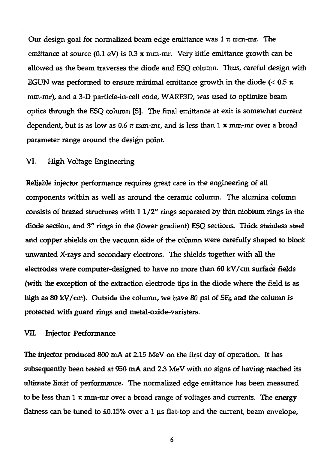Our design goal for normalized beam edge emittance was  $1 \pi$  mm-mr. The emittance at source (0.1 eV) is 0.3 *%* mm-mr. Very little emittance growth can be allowed as the beam traverses the diode and ESQ column. Thus, careful design with EGUN was performed to ensure minimal emittance growth in the diode ( $< 0.5 \pi$ ) mm-mr), and a 3-D partide-in-cell code, WARP3D, was used to optimize beam optics through the ESQ column [5]. The final emittance at exit is somewhat current dependent, but is as low as *0.6 n* mm-mr, and is less than 1 *n* mm-mr over a broad parameter range around the design point.

#### VI. High Voltage Engineering

Reliable injector performance requires great care in the engineering of all components within as well as around the ceramic column. The alumina column consists of brazed structures with  $11/2$ " rings separated by thin niobium rings in the diode section, and 3" rings in the (lower gradient) ESQ sections. Thick stainless steel and copper shields on the vacuum side of the column were carefully shaped to block unwanted X-rays and secondary electrons. The shields together with all the electrodes were computer-designed to have no more than 60 kV/cm surface fields (with the exception of the extraction electrode tips in the diode where the field is as high as 80 kV/cm). Outside the column, we have 80 psi of  $SF<sub>6</sub>$  and the column is protected with guard rings and metal-oxide-varisters.

#### VII. Injector Performance

The injector produced 800 mA at 2.15 MeV on the first day of operation. It has subsequently been tested at 950 mA and 2.3 MeV with no signs of having reached its ultimate limit of performance. The normalized edge emittance has been measured to be less than 1  $\pi$  mm-mr over a broad range of voltages and currents. The energy flatness can be tuned to ±0.15% over a 1 us flat-top and the current, beam envelope,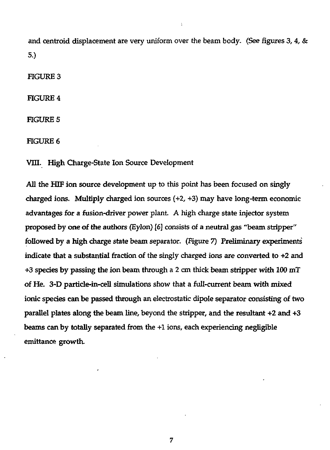and centroid displacement are very uniform over the beam body. (See figures *3, 4, &*  5.)

FIGURE 3

FIGURE 4

FIGURE 5

FIGURE 6

VIII. High Charge-State Ion Source Development

All the HIF ion source development up to this point has been focused on singly charged ions. Multiply charged ion sources (+2, +3) may have long-term economic advantages for a fusion-driver power plant. A high charge state injector system proposed by one of the authors (Eylon) [6] consists of a neutral gas "beam stripper" followed by a high charge state beam separator. (Figure 7) Preliminary experiments indicate that a substantial fraction of the singly charged ions are converted to *+2* and +3 species by passing the ion beam through a 2 cm thick beam stripper with 100 mT of He. 3-D particle-in-cell simulations show that a full-current beam with mixed ionic species can be passed through an electrostatic dipole separator consisting of two parallel plates along the beam line, beyond the stripper, and the resultant +2 and +3 beams can by totally separated from the +1 ions, each experiencing negligible emittance growth.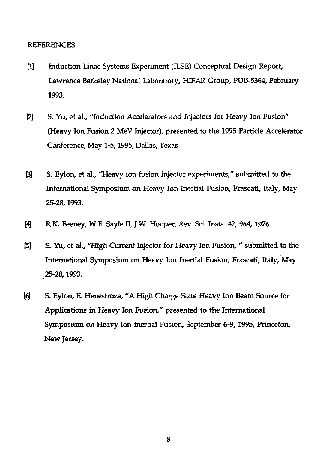#### REFERENCES

- [1] Induction Linac Systems Experiment (ILSE) Conceptual Design Report, Lawrence Berkeley National Laboratory, HIFAR Group, PUB-5364, February 1993.
- [2] S. Yu, et al., "Induction Accelerators and Injectors for Heavy Ion Fusion" (Heavy Ion Fusion 2 MeV Injector), presented to the 1995 Particle Accelerator Conference, May 1-5,1995, Dallas, Texas.
- [3] S. Eylon, et al., "Heavy ion fusion injector experiments," submitted to the International Symposium on Heavy Ion Inertial Fusion, Frascati, Italy, May 25-28,1993.
- [4] R.K. Feeney, W.E. Sayle II, J.W. Hooper, Rev. Sci. Insts. 47, 964, 1976.
- J5J S. Yu, et al., "High Current Injector for Heavy Ion Fusion, " submitted to the International Symposium on Heavy Ion Inertial Fusion, Frascati, Italy, May 25-28,1993.
- [6] S. Eylon, E. Henestroza, "A High Charge State Heavy Ion Beam Source for Applications in Heavy Ion Fusion," presented to the International Symposium on Heavy Ion Inertial Fusion, September 6-9,1995, Princeton, New Jersey.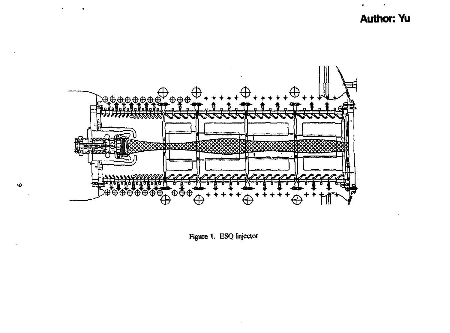**Author: Yu** 



**Figure 1. ESQ Injector**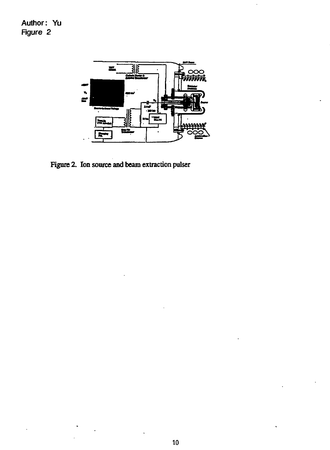Author: Yu Figure 2



**Figure 2. Ion source and beam extraction pulser**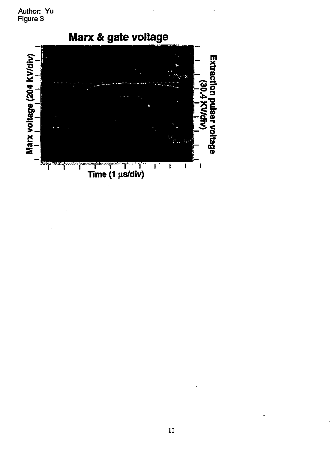Author: Yu Figure 3

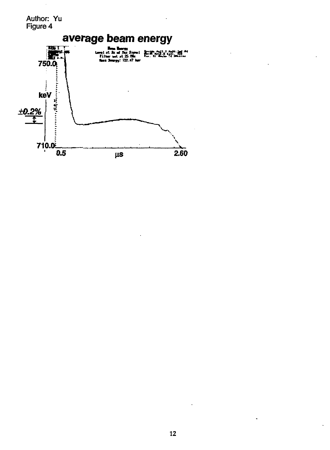Author: Yu Figure 4 **average beam energy THE T Kite at .t .t .t .t .t .t** R **fcai W» : 722.47 M**  750.0 reneration of the state of the contract of keV *±0.2%*   $710.0<sup>2</sup>$ 0.5  $\mu s$  2.60

 $\ddot{\phantom{a}}$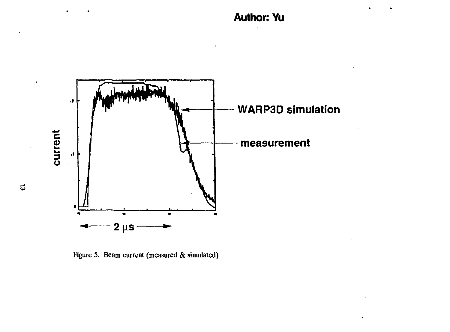**Author: Yu** 



**Figure 5. Beam current (measured & simulated)**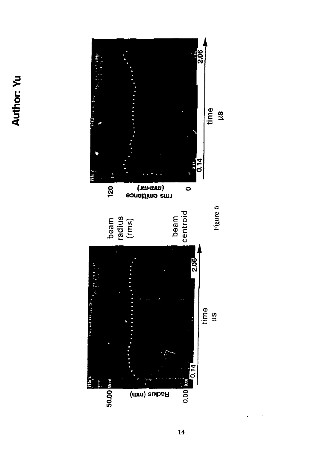# **o**  *JO* **\*"\* 3 <**